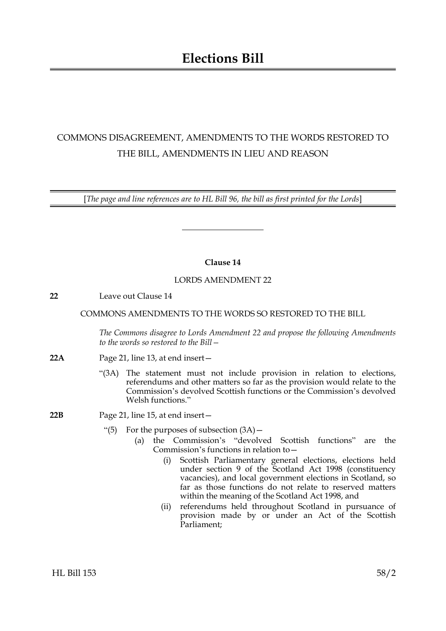# COMMONS DISAGREEMENT, AMENDMENTS TO THE WORDS RESTORED TO THE BILL, AMENDMENTS IN LIEU AND REASON

[*The page and line references are to HL Bill 96, the bill as first printed for the Lords*]

# **Clause 14**

## LORDS AMENDMENT 22

**22** Leave out Clause 14

## COMMONS AMENDMENTS TO THE WORDS SO RESTORED TO THE BILL

*The Commons disagree to Lords Amendment 22 and propose the following Amendments to the words so restored to the Bill—*

- **22A** Page 21, line 13, at end insert—
	- "(3A) The statement must not include provision in relation to elections, referendums and other matters so far as the provision would relate to the Commission's devolved Scottish functions or the Commission's devolved Welsh functions."
- **22B** Page 21, line 15, at end insert—
	- "(5) For the purposes of subsection  $(3A)$  -
		- (a) the Commission's "devolved Scottish functions" are the Commission's functions in relation to—
			- (i) Scottish Parliamentary general elections, elections held under section 9 of the Scotland Act 1998 (constituency vacancies), and local government elections in Scotland, so far as those functions do not relate to reserved matters within the meaning of the Scotland Act 1998, and
			- (ii) referendums held throughout Scotland in pursuance of provision made by or under an Act of the Scottish Parliament;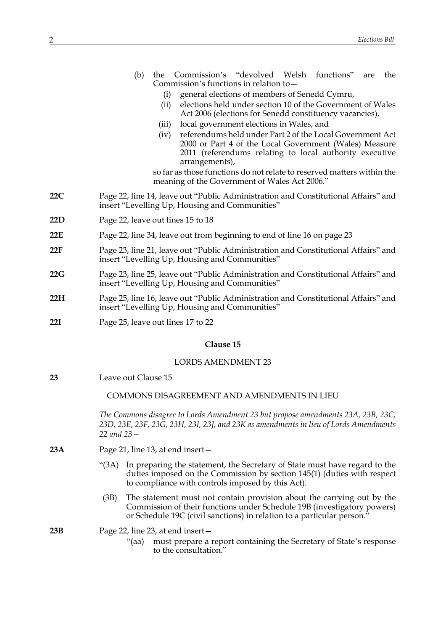- (b) the Commission's "devolved Welsh functions" are the Commission's functions in relation to
	- general elections of members of Senedd Cymru,
	- (ii) elections held under section 10 of the Government of Wales Act 2006 (elections for Senedd constituency vacancies),
	- (iii) local government elections in Wales, and
	- (iv) referendums held under Part 2 of the Local Government Act 2000 or Part 4 of the Local Government (Wales) Measure 2011 (referendums relating to local authority executive arrangements),

so far as those functions do not relate to reserved matters within the meaning of the Government of Wales Act 2006."

- **22C** Page 22, line 14, leave out "Public Administration and Constitutional Affairs" and insert "Levelling Up, Housing and Communities"
- **22D** Page 22, leave out lines 15 to 18
- **22E** Page 22, line 34, leave out from beginning to end of line 16 on page 23
- **22F** Page 23, line 21, leave out "Public Administration and Constitutional Affairs" and insert "Levelling Up, Housing and Communities"
- **22G** Page 23, line 25, leave out "Public Administration and Constitutional Affairs" and insert "Levelling Up, Housing and Communities"
- **22H** Page 25, line 16, leave out "Public Administration and Constitutional Affairs" and insert "Levelling Up, Housing and Communities"
- **22I** Page 25, leave out lines 17 to 22

#### **Clause 15**

### LORDS AMENDMENT 23

**23** Leave out Clause 15

## COMMONS DISAGREEMENT AND AMENDMENTS IN LIEU

*The Commons disagree to Lords Amendment 23 but propose amendments 23A, 23B, 23C, 23D, 23E, 23F, 23G, 23H, 23I, 23J, and 23K as amendments in lieu of Lords Amendments 22 and 23—*

- **23A** Page 21, line 13, at end insert—
	- "(3A) In preparing the statement, the Secretary of State must have regard to the duties imposed on the Commission by section 145(1) (duties with respect to compliance with controls imposed by this Act).
	- (3B) The statement must not contain provision about the carrying out by the Commission of their functions under Schedule 19B (investigatory powers) or Schedule 19C (civil sanctions) in relation to a particular person."
- **23B** Page 22, line 23, at end insert—
	- "(aa) must prepare a report containing the Secretary of State's response to the consultation."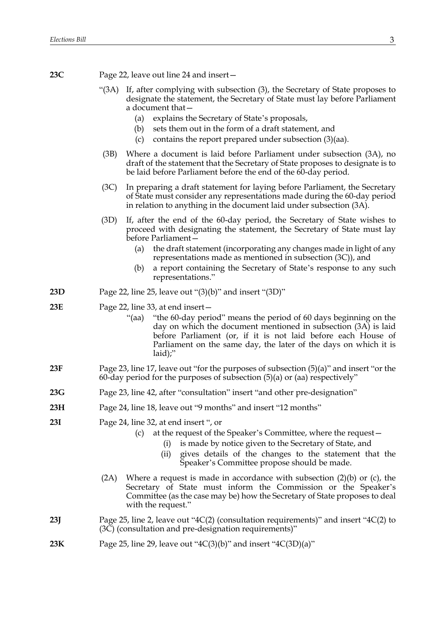**23C** Page 22, leave out line 24 and insert—

- "(3A) If, after complying with subsection (3), the Secretary of State proposes to designate the statement, the Secretary of State must lay before Parliament a document that—
	- (a) explains the Secretary of State's proposals,
	- (b) sets them out in the form of a draft statement, and
	- (c) contains the report prepared under subsection (3)(aa).
- (3B) Where a document is laid before Parliament under subsection (3A), no draft of the statement that the Secretary of State proposes to designate is to be laid before Parliament before the end of the 60-day period.
- (3C) In preparing a draft statement for laying before Parliament, the Secretary of State must consider any representations made during the 60-day period in relation to anything in the document laid under subsection (3A).
- (3D) If, after the end of the 60-day period, the Secretary of State wishes to proceed with designating the statement, the Secretary of State must lay before Parliament—
	- (a) the draft statement (incorporating any changes made in light of any representations made as mentioned in subsection (3C)), and
	- (b) a report containing the Secretary of State's response to any such representations."
- **23D** Page 22, line 25, leave out "(3)(b)" and insert "(3D)"

## **23E** Page 22, line 33, at end insert—

- "(aa) "the 60-day period" means the period of 60 days beginning on the day on which the document mentioned in subsection (3A) is laid before Parliament (or, if it is not laid before each House of Parliament on the same day, the later of the days on which it is laid);"
- **23F** Page 23, line 17, leave out "for the purposes of subsection (5)(a)" and insert "or the 60-day period for the purposes of subsection  $(5)(a)$  or  $(aa)$  respectively"
- **23G** Page 23, line 42, after "consultation" insert "and other pre-designation"
- **23H** Page 24, line 18, leave out "9 months" and insert "12 months"
- **23I** Page 24, line 32, at end insert ", or
	- (c) at the request of the Speaker's Committee, where the request—
		- (i) is made by notice given to the Secretary of State, and
		- (ii) gives details of the changes to the statement that the Speaker's Committee propose should be made.
	- (2A) Where a request is made in accordance with subsection  $(2)(b)$  or  $(c)$ , the Secretary of State must inform the Commission or the Speaker's Committee (as the case may be) how the Secretary of State proposes to deal with the request."
- **23J** Page 25, line 2, leave out "4C(2) (consultation requirements)" and insert "4C(2) to  $(3\overline{C})$  (consultation and pre-designation requirements)"
- **23K** Page 25, line 29, leave out " $4C(3)(b)$ " and insert " $4C(3D)(a)$ "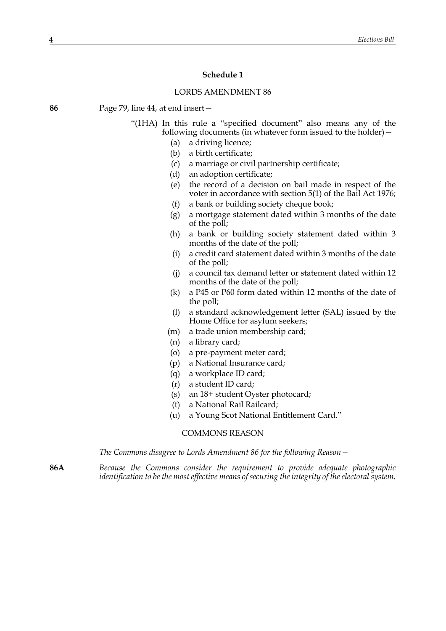#### **Schedule 1**

#### LORDS AMENDMENT 86

**86** Page 79, line 44, at end insert—

- "(1HA) In this rule a "specified document" also means any of the following documents (in whatever form issued to the holder)—
	- (a) a driving licence;
	- (b) a birth certificate;
	- (c) a marriage or civil partnership certificate;
	- (d) an adoption certificate;
	- (e) the record of a decision on bail made in respect of the voter in accordance with section 5(1) of the Bail Act 1976;
	- (f) a bank or building society cheque book;
	- (g) a mortgage statement dated within 3 months of the date of the poll;
	- (h) a bank or building society statement dated within 3 months of the date of the poll;
	- (i) a credit card statement dated within 3 months of the date of the poll;
	- (j) a council tax demand letter or statement dated within 12 months of the date of the poll;
	- (k) a P45 or P60 form dated within 12 months of the date of the poll;
	- (l) a standard acknowledgement letter (SAL) issued by the Home Office for asylum seekers;
	- (m) a trade union membership card;
	- (n) a library card;
	- (o) a pre-payment meter card;
	- (p) a National Insurance card;
	- (q) a workplace ID card;
	- (r) a student ID card;
	- (s) an 18+ student Oyster photocard;
	- (t) a National Rail Railcard;
	- (u) a Young Scot National Entitlement Card."

COMMONS REASON

*The Commons disagree to Lords Amendment 86 for the following Reason—*

**86A** *Because the Commons consider the requirement to provide adequate photographic identification to be the most effective means of securing the integrity of the electoral system.*